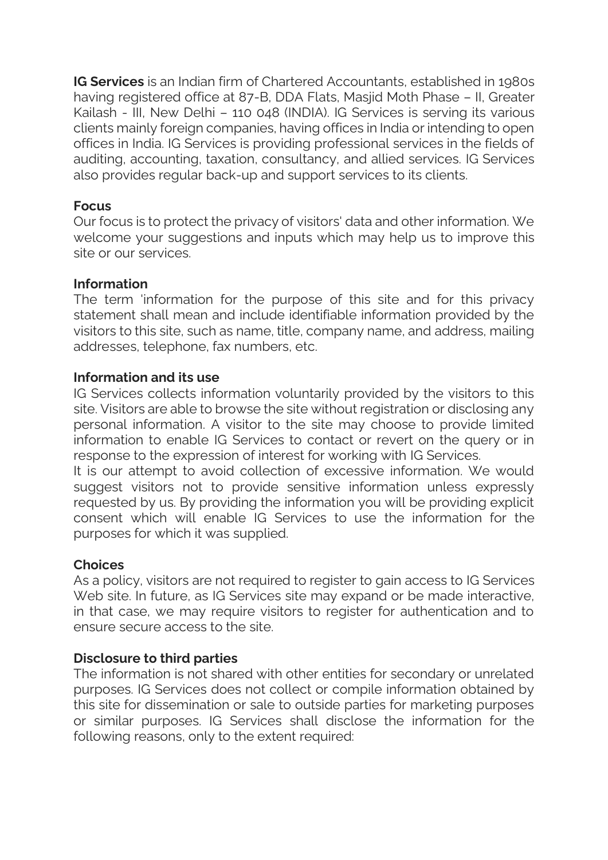**IG Services** is an Indian firm of Chartered Accountants, established in 1980s having registered office at 87-B, DDA Flats, Masiid Moth Phase – II, Greater Kailash - III, New Delhi – 110 048 (INDIA). IG Services is serving its various clients mainly foreign companies, having offices in India or intending to open offices in India. IG Services is providing professional services in the fields of auditing, accounting, taxation, consultancy, and allied services. IG Services also provides regular back-up and support services to its clients.

# **Focus**

Our focus is to protect the privacy of visitors' data and other information. We welcome your suggestions and inputs which may help us to improve this site or our services.

## **Information**

The term 'information for the purpose of this site and for this privacy statement shall mean and include identifiable information provided by the visitors to this site, such as name, title, company name, and address, mailing addresses, telephone, fax numbers, etc.

### **Information and its use**

IG Services collects information voluntarily provided by the visitors to this site. Visitors are able to browse the site without registration or disclosing any personal information. A visitor to the site may choose to provide limited information to enable IG Services to contact or revert on the query or in response to the expression of interest for working with IG Services.

It is our attempt to avoid collection of excessive information. We would suggest visitors not to provide sensitive information unless expressly requested by us. By providing the information you will be providing explicit consent which will enable IG Services to use the information for the purposes for which it was supplied.

# **Choices**

As a policy, visitors are not required to register to gain access to IG Services Web site. In future, as IG Services site may expand or be made interactive, in that case, we may require visitors to register for authentication and to ensure secure access to the site.

#### **Disclosure to third parties**

The information is not shared with other entities for secondary or unrelated purposes. IG Services does not collect or compile information obtained by this site for dissemination or sale to outside parties for marketing purposes or similar purposes. IG Services shall disclose the information for the following reasons, only to the extent required: